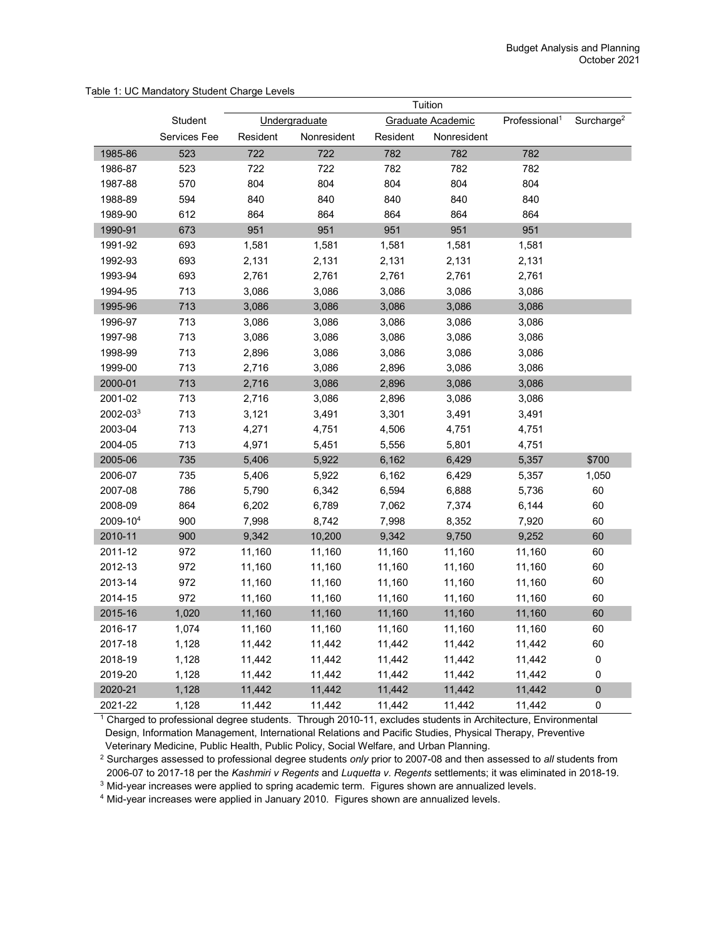|                      |              | Tuition  |               |          |                   |                           |                        |
|----------------------|--------------|----------|---------------|----------|-------------------|---------------------------|------------------------|
|                      | Student      |          | Undergraduate |          | Graduate Academic | Professional <sup>1</sup> | Surcharge <sup>2</sup> |
|                      | Services Fee | Resident | Nonresident   | Resident | Nonresident       |                           |                        |
| 1985-86              | 523          | 722      | 722           | 782      | 782               | 782                       |                        |
| 1986-87              | 523          | 722      | 722           | 782      | 782               | 782                       |                        |
| 1987-88              | 570          | 804      | 804           | 804      | 804               | 804                       |                        |
| 1988-89              | 594          | 840      | 840           | 840      | 840               | 840                       |                        |
| 1989-90              | 612          | 864      | 864           | 864      | 864               | 864                       |                        |
| 1990-91              | 673          | 951      | 951           | 951      | 951               | 951                       |                        |
| 1991-92              | 693          | 1,581    | 1,581         | 1,581    | 1,581             | 1,581                     |                        |
| 1992-93              | 693          | 2,131    | 2,131         | 2,131    | 2,131             | 2,131                     |                        |
| 1993-94              | 693          | 2,761    | 2,761         | 2,761    | 2,761             | 2,761                     |                        |
| 1994-95              | 713          | 3,086    | 3,086         | 3,086    | 3,086             | 3,086                     |                        |
| 1995-96              | 713          | 3,086    | 3,086         | 3,086    | 3,086             | 3,086                     |                        |
| 1996-97              | 713          | 3,086    | 3,086         | 3,086    | 3,086             | 3,086                     |                        |
| 1997-98              | 713          | 3,086    | 3,086         | 3,086    | 3,086             | 3,086                     |                        |
| 1998-99              | 713          | 2,896    | 3,086         | 3,086    | 3,086             | 3,086                     |                        |
| 1999-00              | 713          | 2,716    | 3,086         | 2,896    | 3,086             | 3,086                     |                        |
| 2000-01              | 713          | 2,716    | 3,086         | 2,896    | 3,086             | 3,086                     |                        |
| 2001-02              | 713          | 2,716    | 3,086         | 2,896    | 3,086             | 3,086                     |                        |
| 2002-03 <sup>3</sup> | 713          | 3,121    | 3,491         | 3,301    | 3,491             | 3,491                     |                        |
| 2003-04              | 713          | 4,271    | 4,751         | 4,506    | 4,751             | 4,751                     |                        |
| 2004-05              | 713          | 4,971    | 5,451         | 5,556    | 5,801             | 4,751                     |                        |
| 2005-06              | 735          | 5,406    | 5,922         | 6,162    | 6,429             | 5,357                     | \$700                  |
| 2006-07              | 735          | 5,406    | 5,922         | 6,162    | 6,429             | 5,357                     | 1,050                  |
| 2007-08              | 786          | 5,790    | 6,342         | 6,594    | 6,888             | 5,736                     | 60                     |
| 2008-09              | 864          | 6,202    | 6,789         | 7,062    | 7,374             | 6,144                     | 60                     |
| 2009-104             | 900          | 7,998    | 8,742         | 7,998    | 8,352             | 7,920                     | 60                     |
| 2010-11              | 900          | 9,342    | 10,200        | 9,342    | 9,750             | 9,252                     | 60                     |
| 2011-12              | 972          | 11,160   | 11,160        | 11,160   | 11,160            | 11,160                    | 60                     |
| 2012-13              | 972          | 11,160   | 11,160        | 11,160   | 11,160            | 11,160                    | 60                     |
| 2013-14              | 972          | 11,160   | 11,160        | 11,160   | 11,160            | 11,160                    | 60                     |
| 2014-15              | 972          | 11,160   | 11,160        | 11,160   | 11,160            | 11,160                    | 60                     |
| 2015-16              | 1,020        | 11,160   | 11,160        | 11,160   | 11,160            | 11,160                    | 60                     |
| 2016-17              | 1,074        | 11,160   | 11,160        | 11,160   | 11,160            | 11,160                    | 60                     |
| 2017-18              | 1,128        | 11,442   | 11,442        | 11,442   | 11,442            | 11,442                    | 60                     |
| 2018-19              | 1,128        | 11,442   | 11,442        | 11,442   | 11,442            | 11,442                    | 0                      |
| 2019-20              | 1,128        | 11,442   | 11,442        | 11,442   | 11,442            | 11,442                    | 0                      |
| 2020-21              | 1,128        | 11,442   | 11,442        | 11,442   | 11,442            | 11,442                    | 0                      |
| 2021-22              | 1,128        | 11,442   | 11,442        | 11,442   | 11,442            | 11,442                    | 0                      |

## Table 1: UC Mandatory Student Charge Levels

<sup>1</sup> Charged to professional degree students. Through 2010-11, excludes students in Architecture, Environmental Design, Information Management, International Relations and Pacific Studies, Physical Therapy, Preventive

Veterinary Medicine, Public Health, Public Policy, Social Welfare, and Urban Planning. 2 Surcharges assessed to professional degree students *only* prior to 2007-08 and then assessed to *all* students from 2006-07 to 2017-18 per the *Kashmiri v Regents* and *Luquetta v. Regents* settlements; it was eliminated in 2018-19.

<sup>3</sup> Mid-year increases were applied to spring academic term. Figures shown are annualized levels.

<sup>4</sup> Mid-year increases were applied in January 2010. Figures shown are annualized levels.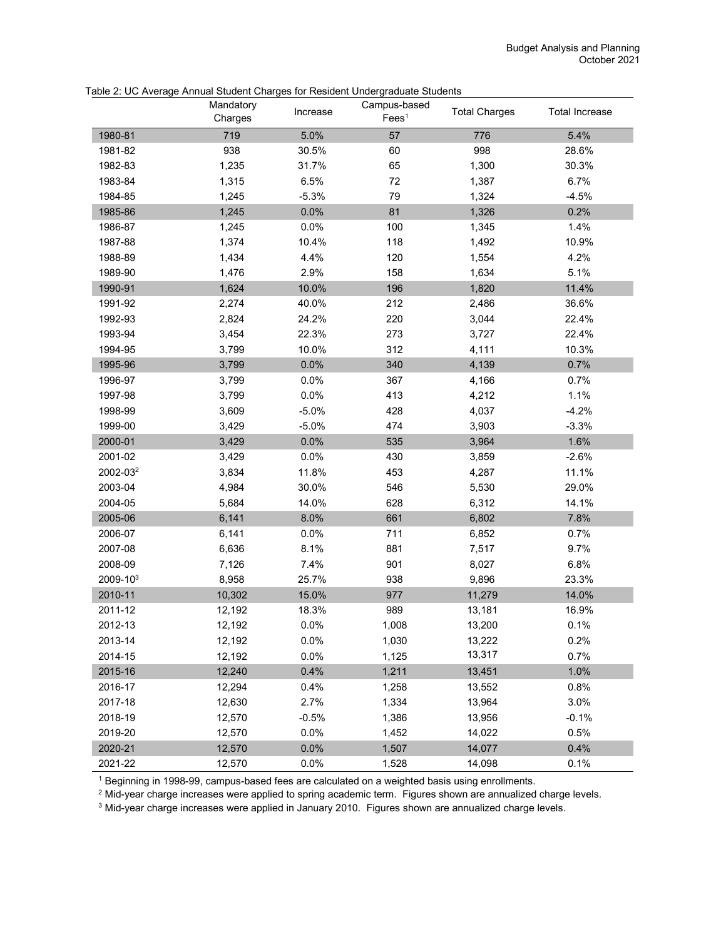|          | Mandatory<br>Charges | Increase | Campus-based<br>Fees <sup>1</sup> | <b>Total Charges</b> | <b>Total Increase</b> |
|----------|----------------------|----------|-----------------------------------|----------------------|-----------------------|
| 1980-81  | 719                  | 5.0%     | 57                                | 776                  | 5.4%                  |
| 1981-82  | 938                  | 30.5%    | 60                                | 998                  | 28.6%                 |
| 1982-83  | 1,235                | 31.7%    | 65                                | 1,300                | 30.3%                 |
| 1983-84  | 1,315                | 6.5%     | $72\,$                            | 1,387                | 6.7%                  |
| 1984-85  | 1,245                | $-5.3%$  | 79                                | 1,324                | $-4.5%$               |
| 1985-86  | 1,245                | 0.0%     | 81                                | 1,326                | 0.2%                  |
| 1986-87  | 1,245                | 0.0%     | 100                               | 1,345                | 1.4%                  |
| 1987-88  | 1,374                | 10.4%    | 118                               | 1,492                | 10.9%                 |
| 1988-89  | 1,434                | 4.4%     | 120                               | 1,554                | 4.2%                  |
| 1989-90  | 1,476                | 2.9%     | 158                               | 1,634                | 5.1%                  |
| 1990-91  | 1,624                | 10.0%    | 196                               | 1,820                | 11.4%                 |
| 1991-92  | 2,274                | 40.0%    | 212                               | 2,486                | 36.6%                 |
| 1992-93  | 2,824                | 24.2%    | 220                               | 3,044                | 22.4%                 |
| 1993-94  | 3,454                | 22.3%    | 273                               | 3,727                | 22.4%                 |
| 1994-95  | 3,799                | 10.0%    | 312                               | 4,111                | 10.3%                 |
| 1995-96  | 3,799                | 0.0%     | 340                               | 4,139                | 0.7%                  |
| 1996-97  | 3,799                | 0.0%     | 367                               | 4,166                | 0.7%                  |
| 1997-98  | 3,799                | 0.0%     | 413                               | 4,212                | 1.1%                  |
| 1998-99  | 3,609                | $-5.0%$  | 428                               | 4,037                | $-4.2%$               |
| 1999-00  | 3,429                | $-5.0%$  | 474                               | 3,903                | $-3.3%$               |
| 2000-01  | 3,429                | 0.0%     | 535                               | 3,964                | 1.6%                  |
| 2001-02  | 3,429                | 0.0%     | 430                               | 3,859                | $-2.6%$               |
| 2002-032 | 3,834                | 11.8%    | 453                               | 4,287                | 11.1%                 |
| 2003-04  | 4,984                | 30.0%    | 546                               | 5,530                | 29.0%                 |
| 2004-05  | 5,684                | 14.0%    | 628                               | 6,312                | 14.1%                 |
| 2005-06  | 6,141                | 8.0%     | 661                               | 6,802                | 7.8%                  |
| 2006-07  | 6,141                | 0.0%     | 711                               | 6,852                | 0.7%                  |
| 2007-08  | 6,636                | 8.1%     | 881                               | 7,517                | 9.7%                  |
| 2008-09  | 7,126                | 7.4%     | 901                               | 8,027                | 6.8%                  |
| 2009-103 | 8,958                | 25.7%    | 938                               | 9,896                | 23.3%                 |
| 2010-11  | 10,302               | 15.0%    | 977                               | 11,279               | 14.0%                 |
| 2011-12  | 12,192               | 18.3%    | 989                               | 13,181               | 16.9%                 |
| 2012-13  | 12,192               | 0.0%     | 1,008                             | 13,200               | 0.1%                  |
| 2013-14  | 12,192               | 0.0%     | 1,030                             | 13,222               | 0.2%                  |
| 2014-15  | 12,192               | 0.0%     | 1,125                             | 13,317               | 0.7%                  |
| 2015-16  | 12,240               | 0.4%     | 1,211                             | 13,451               | 1.0%                  |
| 2016-17  | 12,294               | 0.4%     | 1,258                             | 13,552               | 0.8%                  |
| 2017-18  | 12,630               | 2.7%     | 1,334                             | 13,964               | 3.0%                  |
| 2018-19  | 12,570               | $-0.5%$  | 1,386                             | 13,956               | $-0.1%$               |
| 2019-20  | 12,570               | 0.0%     | 1,452                             | 14,022               | 0.5%                  |
| 2020-21  | 12,570               | 0.0%     | 1,507                             | 14,077               | 0.4%                  |
| 2021-22  | 12,570               | 0.0%     | 1,528                             | 14,098               | 0.1%                  |

Table 2: UC Average Annual Student Charges for Resident Undergraduate Students

<sup>1</sup> Beginning in 1998-99, campus-based fees are calculated on a weighted basis using enrollments.

<sup>2</sup> Mid-year charge increases were applied to spring academic term. Figures shown are annualized charge levels.

<sup>3</sup> Mid-year charge increases were applied in January 2010. Figures shown are annualized charge levels.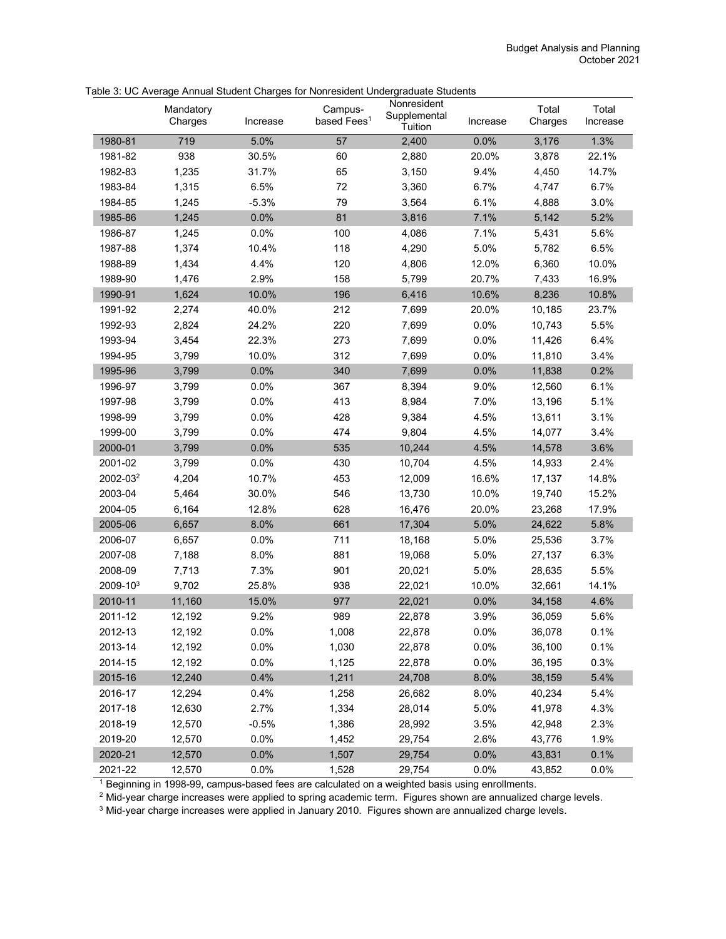|                      | Mandatory<br>Charges | Increase | Campus-<br>based Fees <sup>1</sup> | Nonresident<br>Supplemental<br>Tuition | Increase | Total<br>Charges | Total<br>Increase |
|----------------------|----------------------|----------|------------------------------------|----------------------------------------|----------|------------------|-------------------|
| 1980-81              | 719                  | 5.0%     | 57                                 | 2,400                                  | 0.0%     | 3,176            | 1.3%              |
| 1981-82              | 938                  | 30.5%    | 60                                 | 2,880                                  | 20.0%    | 3,878            | 22.1%             |
| 1982-83              | 1,235                | 31.7%    | 65                                 | 3,150                                  | 9.4%     | 4,450            | 14.7%             |
| 1983-84              | 1,315                | 6.5%     | 72                                 | 3,360                                  | 6.7%     | 4,747            | 6.7%              |
| 1984-85              | 1,245                | $-5.3%$  | 79                                 | 3,564                                  | 6.1%     | 4,888            | 3.0%              |
| 1985-86              | 1,245                | 0.0%     | 81                                 | 3,816                                  | 7.1%     | 5,142            | 5.2%              |
| 1986-87              | 1,245                | 0.0%     | 100                                | 4,086                                  | 7.1%     | 5,431            | 5.6%              |
| 1987-88              | 1,374                | 10.4%    | 118                                | 4,290                                  | 5.0%     | 5,782            | 6.5%              |
| 1988-89              | 1,434                | 4.4%     | 120                                | 4,806                                  | 12.0%    | 6,360            | 10.0%             |
| 1989-90              | 1,476                | 2.9%     | 158                                | 5,799                                  | 20.7%    | 7,433            | 16.9%             |
| 1990-91              | 1,624                | 10.0%    | 196                                | 6,416                                  | 10.6%    | 8,236            | 10.8%             |
| 1991-92              | 2,274                | 40.0%    | 212                                | 7,699                                  | 20.0%    | 10,185           | 23.7%             |
| 1992-93              | 2,824                | 24.2%    | 220                                | 7,699                                  | 0.0%     | 10,743           | 5.5%              |
| 1993-94              | 3,454                | 22.3%    | 273                                | 7,699                                  | 0.0%     | 11,426           | 6.4%              |
| 1994-95              | 3,799                | 10.0%    | 312                                | 7,699                                  | 0.0%     | 11,810           | 3.4%              |
| 1995-96              | 3,799                | 0.0%     | 340                                | 7,699                                  | 0.0%     | 11,838           | 0.2%              |
| 1996-97              | 3,799                | 0.0%     | 367                                | 8,394                                  | 9.0%     | 12,560           | 6.1%              |
| 1997-98              | 3,799                | 0.0%     | 413                                | 8,984                                  | 7.0%     | 13,196           | 5.1%              |
| 1998-99              | 3,799                | 0.0%     | 428                                | 9,384                                  | 4.5%     | 13,611           | 3.1%              |
| 1999-00              | 3,799                | 0.0%     | 474                                | 9,804                                  | 4.5%     | 14,077           | 3.4%              |
| 2000-01              | 3,799                | 0.0%     | 535                                | 10,244                                 | 4.5%     | 14,578           | 3.6%              |
| 2001-02              | 3,799                | 0.0%     | 430                                | 10,704                                 | 4.5%     | 14,933           | 2.4%              |
| 2002-03 <sup>2</sup> | 4,204                | 10.7%    | 453                                | 12,009                                 | 16.6%    | 17,137           | 14.8%             |
| 2003-04              | 5,464                | 30.0%    | 546                                | 13,730                                 | 10.0%    | 19,740           | 15.2%             |
| 2004-05              | 6,164                | 12.8%    | 628                                | 16,476                                 | 20.0%    | 23,268           | 17.9%             |
| 2005-06              | 6,657                | 8.0%     | 661                                | 17,304                                 | 5.0%     | 24,622           | 5.8%              |
| 2006-07              | 6,657                | 0.0%     | 711                                | 18,168                                 | 5.0%     | 25,536           | 3.7%              |
| 2007-08              | 7,188                | 8.0%     | 881                                | 19,068                                 | 5.0%     | 27,137           | 6.3%              |
| 2008-09              | 7,713                | 7.3%     | 901                                | 20,021                                 | 5.0%     | 28,635           | 5.5%              |
| 2009-103             | 9,702                | 25.8%    | 938                                | 22,021                                 | 10.0%    | 32,661           | 14.1%             |
| 2010-11              | 11,160               | 15.0%    | 977                                | 22,021                                 | 0.0%     | 34,158           | 4.6%              |
| 2011-12              | 12,192               | 9.2%     | 989                                | 22,878                                 | 3.9%     | 36,059           | 5.6%              |
| 2012-13              | 12,192               | 0.0%     | 1,008                              | 22,878                                 | 0.0%     | 36,078           | 0.1%              |
| 2013-14              | 12,192               | 0.0%     | 1,030                              | 22,878                                 | 0.0%     | 36,100           | 0.1%              |
| 2014-15              | 12,192               | 0.0%     | 1,125                              | 22,878                                 | 0.0%     | 36,195           | 0.3%              |
| 2015-16              | 12,240               | 0.4%     | 1,211                              | 24,708                                 | 8.0%     | 38,159           | 5.4%              |
| 2016-17              | 12,294               | 0.4%     | 1,258                              | 26,682                                 | 8.0%     | 40,234           | 5.4%              |
| 2017-18              | 12,630               | 2.7%     | 1,334                              | 28,014                                 | 5.0%     | 41,978           | 4.3%              |
| 2018-19              | 12,570               | $-0.5%$  | 1,386                              | 28,992                                 | 3.5%     | 42,948           | 2.3%              |
| 2019-20              | 12,570               | 0.0%     | 1,452                              | 29,754                                 | 2.6%     | 43,776           | 1.9%              |
| 2020-21              | 12,570               | 0.0%     | 1,507                              | 29,754                                 | 0.0%     | 43,831           | 0.1%              |
| 2021-22              | 12,570               | 0.0%     | 1,528                              | 29,754                                 | 0.0%     | 43,852           | 0.0%              |

## Table 3: UC Average Annual Student Charges for Nonresident Undergraduate Students

 $<sup>1</sup>$  Beginning in 1998-99, campus-based fees are calculated on a weighted basis using enrollments.</sup>

<sup>2</sup> Mid-year charge increases were applied to spring academic term. Figures shown are annualized charge levels.

<sup>3</sup> Mid-year charge increases were applied in January 2010. Figures shown are annualized charge levels.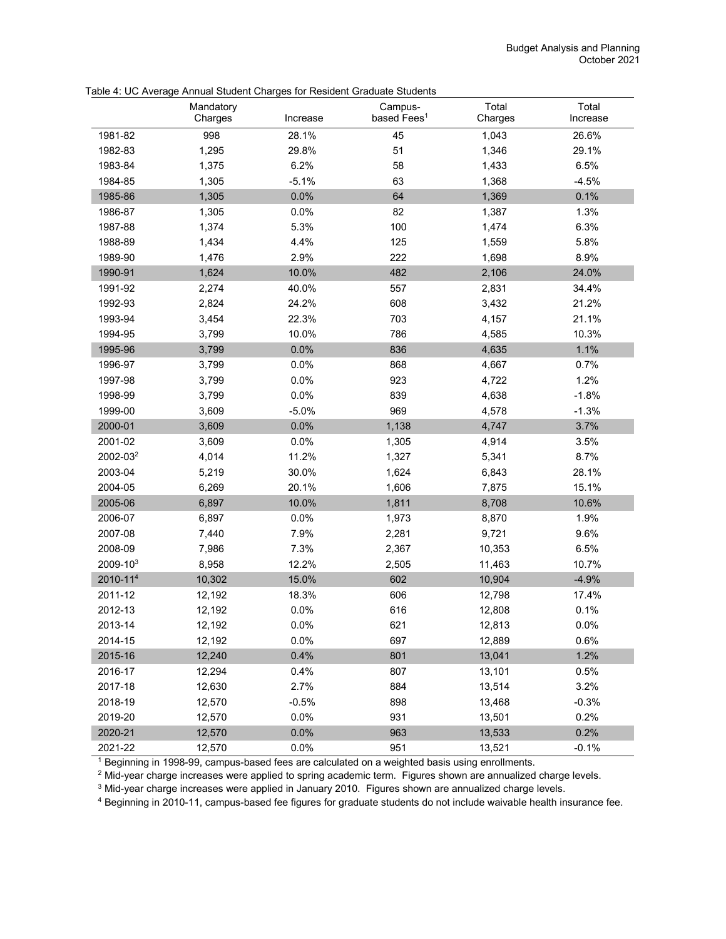|                      | Mandatory<br>Charges | Increase | Campus-<br>based Fees <sup>1</sup> | Total<br>Charges | Total<br>Increase |
|----------------------|----------------------|----------|------------------------------------|------------------|-------------------|
| 1981-82              | 998                  | 28.1%    | 45                                 | 1,043            | 26.6%             |
| 1982-83              | 1,295                | 29.8%    | 51                                 | 1,346            | 29.1%             |
| 1983-84              | 1,375                | 6.2%     | 58                                 | 1,433            | 6.5%              |
| 1984-85              | 1,305                | $-5.1%$  | 63                                 | 1,368            | $-4.5%$           |
| 1985-86              | 1,305                | 0.0%     | 64                                 | 1,369            | 0.1%              |
| 1986-87              | 1,305                | 0.0%     | 82                                 | 1,387            | 1.3%              |
| 1987-88              | 1,374                | 5.3%     | 100                                | 1,474            | 6.3%              |
| 1988-89              | 1,434                | 4.4%     | 125                                | 1,559            | 5.8%              |
| 1989-90              | 1,476                | 2.9%     | 222                                | 1,698            | 8.9%              |
| 1990-91              | 1,624                | 10.0%    | 482                                | 2,106            | 24.0%             |
| 1991-92              | 2,274                | 40.0%    | 557                                | 2,831            | 34.4%             |
| 1992-93              | 2,824                | 24.2%    | 608                                | 3,432            | 21.2%             |
| 1993-94              | 3,454                | 22.3%    | 703                                | 4,157            | 21.1%             |
| 1994-95              | 3,799                | 10.0%    | 786                                | 4,585            | 10.3%             |
| 1995-96              | 3,799                | 0.0%     | 836                                | 4,635            | 1.1%              |
| 1996-97              | 3,799                | 0.0%     | 868                                | 4,667            | 0.7%              |
| 1997-98              | 3,799                | 0.0%     | 923                                | 4,722            | 1.2%              |
| 1998-99              | 3,799                | 0.0%     | 839                                | 4,638            | $-1.8%$           |
| 1999-00              | 3,609                | $-5.0%$  | 969                                | 4,578            | $-1.3%$           |
| 2000-01              | 3,609                | 0.0%     | 1,138                              | 4,747            | 3.7%              |
| 2001-02              | 3,609                | 0.0%     | 1,305                              | 4,914            | 3.5%              |
| 2002-03 <sup>2</sup> | 4,014                | 11.2%    | 1,327                              | 5,341            | 8.7%              |
| 2003-04              | 5,219                | 30.0%    | 1,624                              | 6,843            | 28.1%             |
| 2004-05              | 6,269                | 20.1%    | 1,606                              | 7,875            | 15.1%             |
| 2005-06              | 6,897                | 10.0%    | 1,811                              | 8,708            | 10.6%             |
| 2006-07              | 6,897                | 0.0%     | 1,973                              | 8,870            | 1.9%              |
| 2007-08              | 7,440                | 7.9%     | 2,281                              | 9,721            | 9.6%              |
| 2008-09              | 7,986                | 7.3%     | 2,367                              | 10,353           | 6.5%              |
| 2009-103             | 8,958                | 12.2%    | 2,505                              | 11,463           | 10.7%             |
| 2010-11 <sup>4</sup> | 10,302               | 15.0%    | 602                                | 10,904           | $-4.9%$           |
| 2011-12              | 12,192               | 18.3%    | 606                                | 12,798           | 17.4%             |
| 2012-13              | 12,192               | 0.0%     | 616                                | 12,808           | 0.1%              |
| 2013-14              | 12,192               | 0.0%     | 621                                | 12,813           | 0.0%              |
| 2014-15              | 12,192               | 0.0%     | 697                                | 12,889           | 0.6%              |
| 2015-16              | 12,240               | 0.4%     | 801                                | 13,041           | 1.2%              |
| 2016-17              | 12,294               | 0.4%     | 807                                | 13,101           | 0.5%              |
| 2017-18              | 12,630               | 2.7%     | 884                                | 13,514           | 3.2%              |
| 2018-19              | 12,570               | $-0.5%$  | 898                                | 13,468           | $-0.3%$           |
| 2019-20              | 12,570               | 0.0%     | 931                                | 13,501           | 0.2%              |
| 2020-21              | 12,570               | 0.0%     | 963                                | 13,533           | 0.2%              |
| 2021-22              | 12,570               | 0.0%     | 951                                | 13,521           | $-0.1%$           |

Table 4: UC Average Annual Student Charges for Resident Graduate Students

<sup>1</sup> Beginning in 1998-99, campus-based fees are calculated on a weighted basis using enrollments.

<sup>2</sup> Mid-year charge increases were applied to spring academic term. Figures shown are annualized charge levels.

<sup>3</sup> Mid-year charge increases were applied in January 2010. Figures shown are annualized charge levels.

<sup>4</sup> Beginning in 2010-11, campus-based fee figures for graduate students do not include waivable health insurance fee.